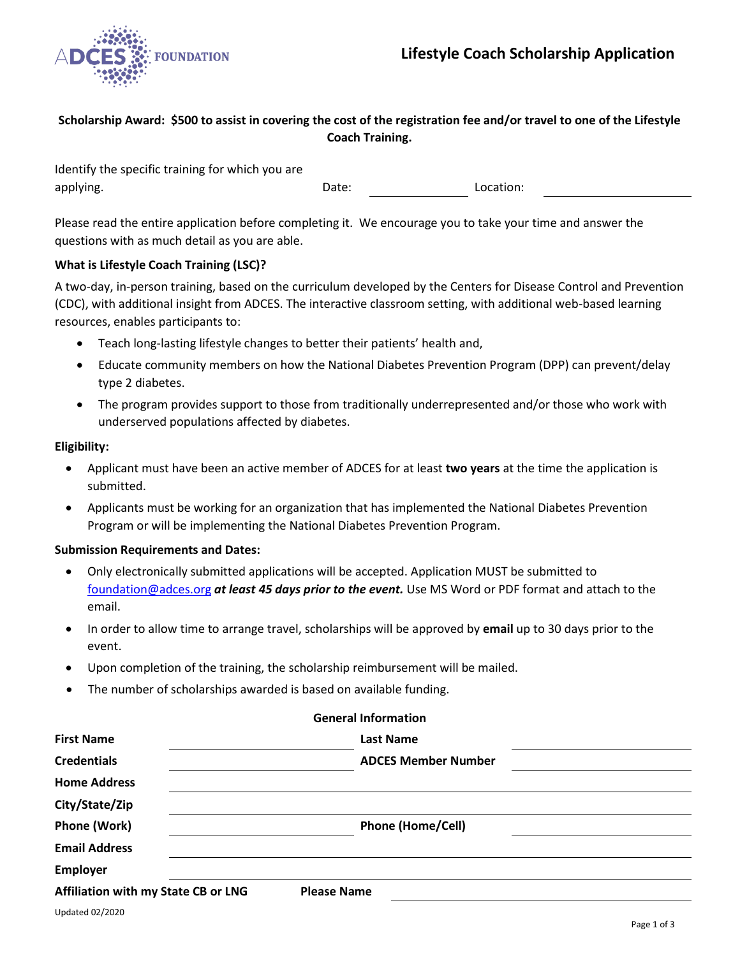

# **Scholarship Award: \$500 to assist in covering the cost of the registration fee and/or travel to one of the Lifestyle Coach Training.**

Identify the specific training for which you are applying. The contraction of the contraction of the Date: The Location:

Please read the entire application before completing it. We encourage you to take your time and answer the questions with as much detail as you are able.

## **What is Lifestyle Coach Training (LSC)?**

A two-day, in-person training, based on the curriculum developed by the Centers for Disease Control and Prevention (CDC), with additional insight from ADCES. The interactive classroom setting, with additional web-based learning resources, enables participants to:

- Teach long-lasting lifestyle changes to better their patients' health and,
- Educate community members on how the National Diabetes Prevention Program (DPP) can prevent/delay type 2 diabetes.
- The program provides support to those from traditionally underrepresented and/or those who work with underserved populations affected by diabetes.

## **Eligibility:**

- Applicant must have been an active member of ADCES for at least **two years** at the time the application is submitted.
- Applicants must be working for an organization that has implemented the National Diabetes Prevention Program or will be implementing the National Diabetes Prevention Program.

## **Submission Requirements and Dates:**

- Only electronically submitted applications will be accepted. Application MUST be submitted to [foundation@adces.org](mailto:foundation@adces.org) *at least 45 days prior to the event.* Use MS Word or PDF format and attach to the email.
- In order to allow time to arrange travel, scholarships will be approved by **email** up to 30 days prior to the event.
- Upon completion of the training, the scholarship reimbursement will be mailed.
- The number of scholarships awarded is based on available funding.

|                                            | <b>General Information</b> |  |
|--------------------------------------------|----------------------------|--|
| <b>First Name</b>                          | <b>Last Name</b>           |  |
| <b>Credentials</b>                         | <b>ADCES Member Number</b> |  |
| <b>Home Address</b>                        |                            |  |
| City/State/Zip                             |                            |  |
| Phone (Work)                               | <b>Phone (Home/Cell)</b>   |  |
| <b>Email Address</b>                       |                            |  |
| <b>Employer</b>                            |                            |  |
| <b>Affiliation with my State CB or LNG</b> | <b>Please Name</b>         |  |
|                                            |                            |  |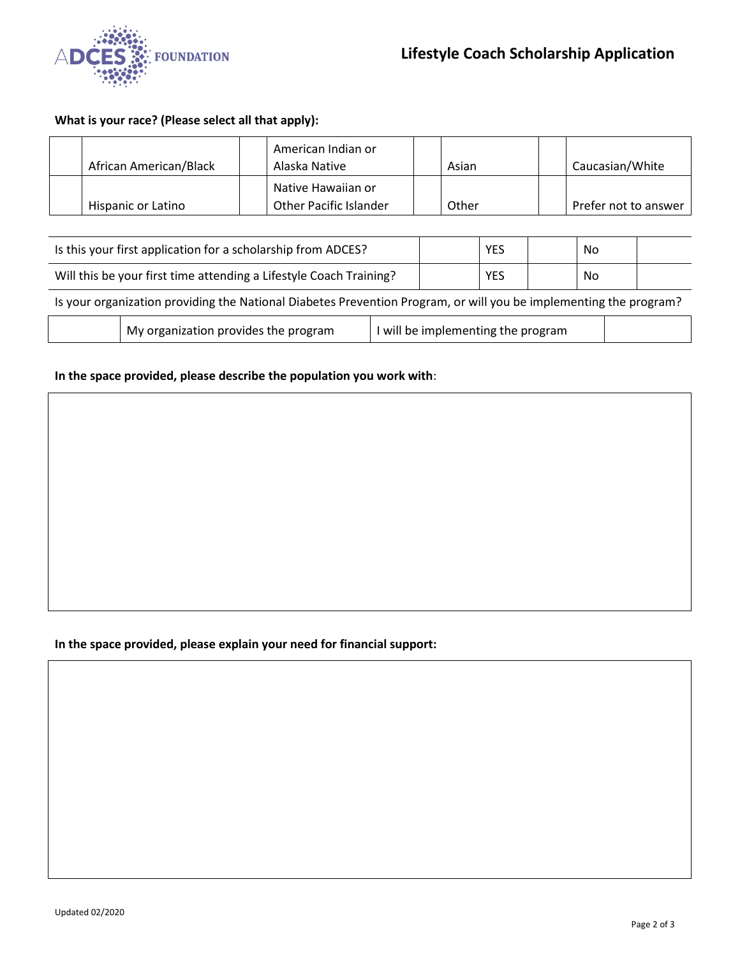

# **What is your race? (Please select all that apply):**

| African American/Black | American Indian or<br>Alaska Native                 | Asian | Caucasian/White      |
|------------------------|-----------------------------------------------------|-------|----------------------|
| Hispanic or Latino     | Native Hawaiian or<br><b>Other Pacific Islander</b> | Other | Prefer not to answer |

| Is this your first application for a scholarship from ADCES?                                                      |                                      |                                  |  | <b>YES</b> |  | No |  |  |
|-------------------------------------------------------------------------------------------------------------------|--------------------------------------|----------------------------------|--|------------|--|----|--|--|
| Will this be your first time attending a Lifestyle Coach Training?                                                |                                      |                                  |  | <b>YES</b> |  | No |  |  |
| Is your organization providing the National Diabetes Prevention Program, or will you be implementing the program? |                                      |                                  |  |            |  |    |  |  |
|                                                                                                                   | My organization provides the program | will be implementing the program |  |            |  |    |  |  |

# **In the space provided, please describe the population you work with**:

## **In the space provided, please explain your need for financial support:**